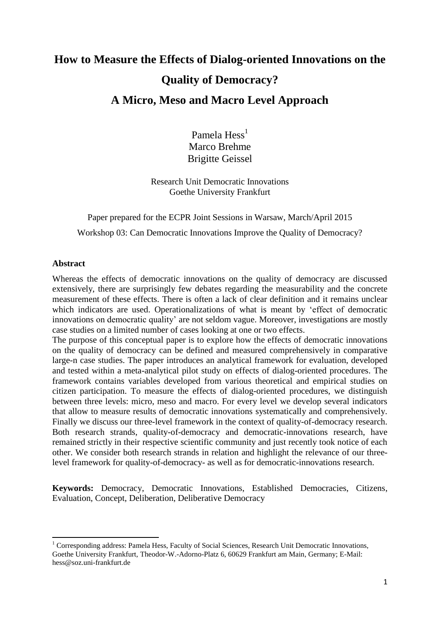# **How to Measure the Effects of Dialog-oriented Innovations on the Quality of Democracy? A Micro, Meso and Macro Level Approach**

Pamela  $Hess<sup>1</sup>$ Marco Brehme Brigitte Geissel

Research Unit Democratic Innovations Goethe University Frankfurt

Paper prepared for the ECPR Joint Sessions in Warsaw, March/April 2015 Workshop 03: Can Democratic Innovations Improve the Quality of Democracy?

### **Abstract**

**.** 

Whereas the effects of democratic innovations on the quality of democracy are discussed extensively, there are surprisingly few debates regarding the measurability and the concrete measurement of these effects. There is often a lack of clear definition and it remains unclear which indicators are used. Operationalizations of what is meant by 'effect of democratic innovations on democratic quality' are not seldom vague. Moreover, investigations are mostly case studies on a limited number of cases looking at one or two effects.

The purpose of this conceptual paper is to explore how the effects of democratic innovations on the quality of democracy can be defined and measured comprehensively in comparative large-n case studies. The paper introduces an analytical framework for evaluation, developed and tested within a meta-analytical pilot study on effects of dialog-oriented procedures. The framework contains variables developed from various theoretical and empirical studies on citizen participation. To measure the effects of dialog-oriented procedures, we distinguish between three levels: micro, meso and macro. For every level we develop several indicators that allow to measure results of democratic innovations systematically and comprehensively. Finally we discuss our three-level framework in the context of quality-of-democracy research. Both research strands, quality-of-democracy and democratic-innovations research, have remained strictly in their respective scientific community and just recently took notice of each other. We consider both research strands in relation and highlight the relevance of our threelevel framework for quality-of-democracy- as well as for democratic-innovations research.

**Keywords:** Democracy, Democratic Innovations, Established Democracies, Citizens, Evaluation, Concept, Deliberation, Deliberative Democracy

<sup>&</sup>lt;sup>1</sup> Corresponding address: Pamela Hess, Faculty of Social Sciences, Research Unit Democratic Innovations, Goethe University Frankfurt, Theodor-W.-Adorno-Platz 6, 60629 Frankfurt am Main, Germany; E-Mail: hess@soz.uni-frankfurt.de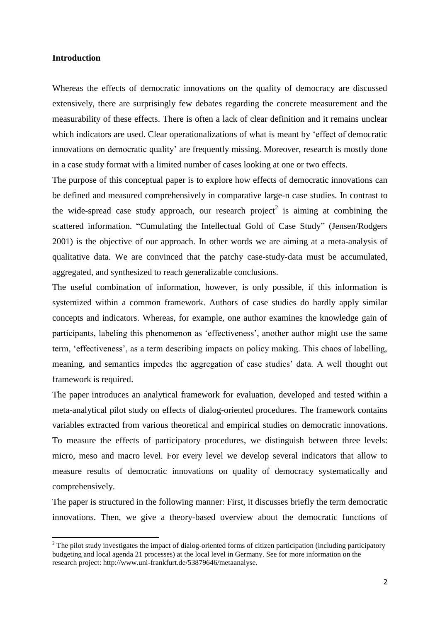#### **Introduction**

**.** 

Whereas the effects of democratic innovations on the quality of democracy are discussed extensively, there are surprisingly few debates regarding the concrete measurement and the measurability of these effects. There is often a lack of clear definition and it remains unclear which indicators are used. Clear operationalizations of what is meant by 'effect of democratic innovations on democratic quality' are frequently missing. Moreover, research is mostly done in a case study format with a limited number of cases looking at one or two effects.

The purpose of this conceptual paper is to explore how effects of democratic innovations can be defined and measured comprehensively in comparative large-n case studies. In contrast to the wide-spread case study approach, our research project<sup>2</sup> is aiming at combining the scattered information. "Cumulating the Intellectual Gold of Case Study" (Jensen/Rodgers 2001) is the objective of our approach. In other words we are aiming at a meta-analysis of qualitative data. We are convinced that the patchy case-study-data must be accumulated, aggregated, and synthesized to reach generalizable conclusions.

The useful combination of information, however, is only possible, if this information is systemized within a common framework. Authors of case studies do hardly apply similar concepts and indicators. Whereas, for example, one author examines the knowledge gain of participants, labeling this phenomenon as 'effectiveness', another author might use the same term, 'effectiveness', as a term describing impacts on policy making. This chaos of labelling, meaning, and semantics impedes the aggregation of case studies' data. A well thought out framework is required.

The paper introduces an analytical framework for evaluation, developed and tested within a meta-analytical pilot study on effects of dialog-oriented procedures. The framework contains variables extracted from various theoretical and empirical studies on democratic innovations. To measure the effects of participatory procedures, we distinguish between three levels: micro, meso and macro level. For every level we develop several indicators that allow to measure results of democratic innovations on quality of democracy systematically and comprehensively.

The paper is structured in the following manner: First, it discusses briefly the term democratic innovations. Then, we give a theory-based overview about the democratic functions of

 $2$  The pilot study investigates the impact of dialog-oriented forms of citizen participation (including participatory budgeting and local agenda 21 processes) at the local level in Germany. See for more information on the research project: http://www.uni-frankfurt.de/53879646/metaanalyse.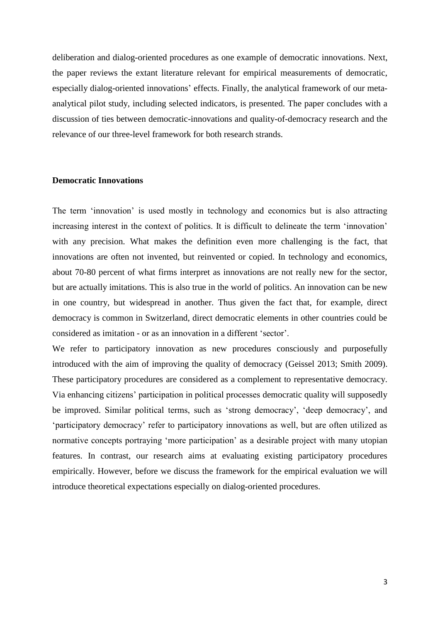deliberation and dialog-oriented procedures as one example of democratic innovations. Next, the paper reviews the extant literature relevant for empirical measurements of democratic, especially dialog-oriented innovations' effects. Finally, the analytical framework of our metaanalytical pilot study, including selected indicators, is presented. The paper concludes with a discussion of ties between democratic-innovations and quality-of-democracy research and the relevance of our three-level framework for both research strands.

#### **Democratic Innovations**

The term 'innovation' is used mostly in technology and economics but is also attracting increasing interest in the context of politics. It is difficult to delineate the term 'innovation' with any precision. What makes the definition even more challenging is the fact, that innovations are often not invented, but reinvented or copied. In technology and economics, about 70-80 percent of what firms interpret as innovations are not really new for the sector, but are actually imitations. This is also true in the world of politics. An innovation can be new in one country, but widespread in another. Thus given the fact that, for example, direct democracy is common in Switzerland, direct democratic elements in other countries could be considered as imitation - or as an innovation in a different 'sector'.

We refer to participatory innovation as new procedures consciously and purposefully introduced with the aim of improving the quality of democracy (Geissel 2013; Smith 2009). These participatory procedures are considered as a complement to representative democracy. Via enhancing citizens' participation in political processes democratic quality will supposedly be improved. Similar political terms, such as 'strong democracy', 'deep democracy', and 'participatory democracy' refer to participatory innovations as well, but are often utilized as normative concepts portraying 'more participation' as a desirable project with many utopian features. In contrast, our research aims at evaluating existing participatory procedures empirically. However, before we discuss the framework for the empirical evaluation we will introduce theoretical expectations especially on dialog-oriented procedures.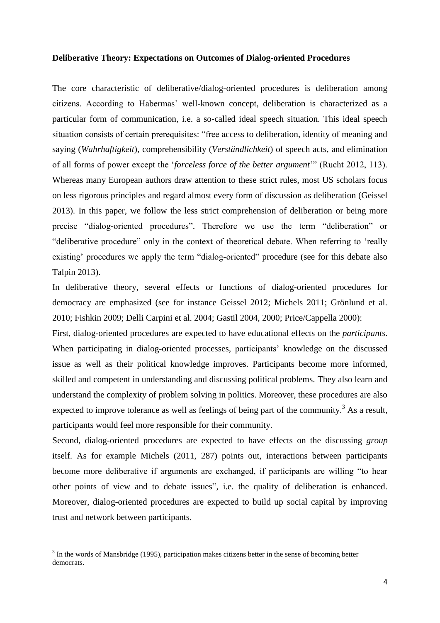#### **Deliberative Theory: Expectations on Outcomes of Dialog-oriented Procedures**

The core characteristic of deliberative/dialog-oriented procedures is deliberation among citizens. According to Habermas' well-known concept, deliberation is characterized as a particular form of communication, i.e. a so-called ideal speech situation. This ideal speech situation consists of certain prerequisites: "free access to deliberation, identity of meaning and saying (*Wahrhaftigkeit*), comprehensibility (*Verständlichkeit*) of speech acts, and elimination of all forms of power except the '*forceless force of the better argument*'" (Rucht 2012, 113). Whereas many European authors draw attention to these strict rules, most US scholars focus on less rigorous principles and regard almost every form of discussion as deliberation (Geissel 2013). In this paper, we follow the less strict comprehension of deliberation or being more precise "dialog-oriented procedures". Therefore we use the term "deliberation" or "deliberative procedure" only in the context of theoretical debate. When referring to 'really existing' procedures we apply the term "dialog-oriented" procedure (see for this debate also Talpin 2013).

In deliberative theory, several effects or functions of dialog-oriented procedures for democracy are emphasized (see for instance Geissel 2012; Michels 2011; Grönlund et al. 2010; Fishkin 2009; Delli Carpini et al. 2004; Gastil 2004, 2000; Price/Cappella 2000):

First, dialog-oriented procedures are expected to have educational effects on the *participants*. When participating in dialog-oriented processes, participants' knowledge on the discussed issue as well as their political knowledge improves. Participants become more informed, skilled and competent in understanding and discussing political problems. They also learn and understand the complexity of problem solving in politics. Moreover, these procedures are also expected to improve tolerance as well as feelings of being part of the community.<sup>3</sup> As a result, participants would feel more responsible for their community.

Second, dialog-oriented procedures are expected to have effects on the discussing *group* itself. As for example Michels (2011, 287) points out, interactions between participants become more deliberative if arguments are exchanged, if participants are willing "to hear other points of view and to debate issues", i.e. the quality of deliberation is enhanced. Moreover, dialog-oriented procedures are expected to build up social capital by improving trust and network between participants.

1

 $3$  In the words of Mansbridge (1995), participation makes citizens better in the sense of becoming better democrats.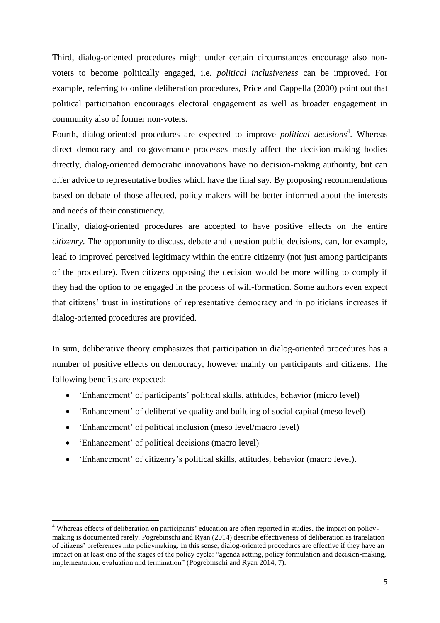Third, dialog-oriented procedures might under certain circumstances encourage also nonvoters to become politically engaged, i.e. *political inclusiveness* can be improved. For example, referring to online deliberation procedures, Price and Cappella (2000) point out that political participation encourages electoral engagement as well as broader engagement in community also of former non-voters.

Fourth, dialog-oriented procedures are expected to improve *political decisions*<sup>4</sup>. Whereas direct democracy and co-governance processes mostly affect the decision-making bodies directly, dialog-oriented democratic innovations have no decision-making authority, but can offer advice to representative bodies which have the final say. By proposing recommendations based on debate of those affected, policy makers will be better informed about the interests and needs of their constituency.

Finally, dialog-oriented procedures are accepted to have positive effects on the entire *citizenry*. The opportunity to discuss, debate and question public decisions, can, for example, lead to improved perceived legitimacy within the entire citizenry (not just among participants of the procedure). Even citizens opposing the decision would be more willing to comply if they had the option to be engaged in the process of will-formation. Some authors even expect that citizens' trust in institutions of representative democracy and in politicians increases if dialog-oriented procedures are provided.

In sum, deliberative theory emphasizes that participation in dialog-oriented procedures has a number of positive effects on democracy, however mainly on participants and citizens. The following benefits are expected:

- 'Enhancement' of participants' political skills, attitudes, behavior (micro level)
- 'Enhancement' of deliberative quality and building of social capital (meso level)
- 'Enhancement' of political inclusion (meso level/macro level)
- 'Enhancement' of political decisions (macro level)

1

'Enhancement' of citizenry's political skills, attitudes, behavior (macro level).

<sup>&</sup>lt;sup>4</sup> Whereas effects of deliberation on participants' education are often reported in studies, the impact on policymaking is documented rarely. Pogrebinschi and Ryan (2014) describe effectiveness of deliberation as translation of citizens' preferences into policymaking. In this sense, dialog-oriented procedures are effective if they have an impact on at least one of the stages of the policy cycle: "agenda setting, policy formulation and decision-making, implementation, evaluation and termination" (Pogrebinschi and Ryan 2014, 7).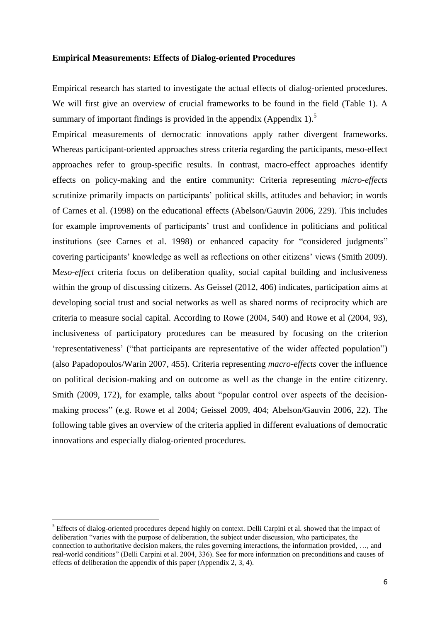#### **Empirical Measurements: Effects of Dialog-oriented Procedures**

Empirical research has started to investigate the actual effects of dialog-oriented procedures. We will first give an overview of crucial frameworks to be found in the field (Table 1). A summary of important findings is provided in the appendix  $(A$ ppendix  $1$ ).<sup>5</sup>

Empirical measurements of democratic innovations apply rather divergent frameworks. Whereas participant-oriented approaches stress criteria regarding the participants, meso-effect approaches refer to group-specific results. In contrast, macro-effect approaches identify effects on policy-making and the entire community: Criteria representing *micro-effects* scrutinize primarily impacts on participants' political skills, attitudes and behavior; in words of Carnes et al. (1998) on the educational effects (Abelson/Gauvin 2006, 229). This includes for example improvements of participants' trust and confidence in politicians and political institutions (see Carnes et al. 1998) or enhanced capacity for "considered judgments" covering participants' knowledge as well as reflections on other citizens' views (Smith 2009). M*eso-effect* criteria focus on deliberation quality, social capital building and inclusiveness within the group of discussing citizens. As Geissel (2012, 406) indicates, participation aims at developing social trust and social networks as well as shared norms of reciprocity which are criteria to measure social capital. According to Rowe (2004, 540) and Rowe et al (2004, 93), inclusiveness of participatory procedures can be measured by focusing on the criterion 'representativeness' ("that participants are representative of the wider affected population") (also Papadopoulos/Warin 2007, 455). Criteria representing *macro-effects* cover the influence on political decision-making and on outcome as well as the change in the entire citizenry. Smith (2009, 172), for example, talks about "popular control over aspects of the decisionmaking process" (e.g. Rowe et al 2004; Geissel 2009, 404; Abelson/Gauvin 2006, 22). The following table gives an overview of the criteria applied in different evaluations of democratic innovations and especially dialog-oriented procedures.

1

<sup>&</sup>lt;sup>5</sup> Effects of dialog-oriented procedures depend highly on context. Delli Carpini et al. showed that the impact of deliberation "varies with the purpose of deliberation, the subject under discussion, who participates, the connection to authoritative decision makers, the rules governing interactions, the information provided, …, and real-world conditions" (Delli Carpini et al. 2004, 336). See for more information on preconditions and causes of effects of deliberation the appendix of this paper (Appendix 2, 3, 4).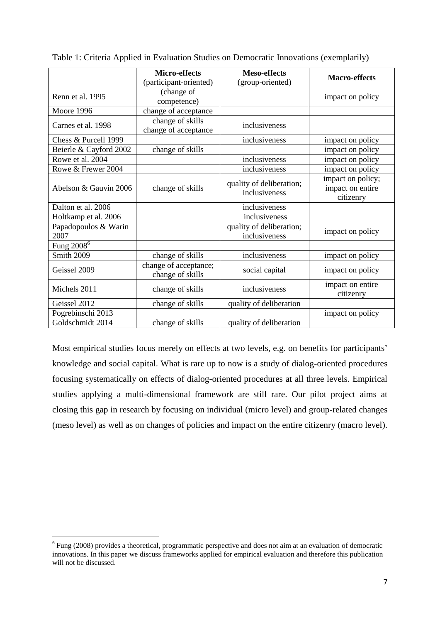|                              | <b>Micro-effects</b>                      | <b>Meso-effects</b>                       |                                                    |  |
|------------------------------|-------------------------------------------|-------------------------------------------|----------------------------------------------------|--|
|                              | (participant-oriented)                    |                                           | <b>Macro-effects</b>                               |  |
| Renn et al. 1995             | (change of<br>competence)                 |                                           | impact on policy                                   |  |
| Moore 1996                   | change of acceptance                      |                                           |                                                    |  |
| Carnes et al. 1998           | change of skills<br>change of acceptance  | inclusiveness                             |                                                    |  |
| Chess & Purcell 1999         |                                           | inclusiveness                             | impact on policy                                   |  |
| Beierle & Cayford 2002       | change of skills                          |                                           | impact on policy                                   |  |
| Rowe et al. 2004             |                                           | inclusiveness                             | impact on policy                                   |  |
| Rowe & Frewer 2004           |                                           | inclusiveness                             | impact on policy                                   |  |
| Abelson & Gauvin 2006        | change of skills                          | quality of deliberation;<br>inclusiveness | impact on policy;<br>impact on entire<br>citizenry |  |
| Dalton et al. 2006           |                                           | inclusiveness                             |                                                    |  |
| Holtkamp et al. 2006         |                                           | inclusiveness                             |                                                    |  |
| Papadopoulos & Warin<br>2007 |                                           | quality of deliberation;<br>inclusiveness | impact on policy                                   |  |
| Fung $2008^6$                |                                           |                                           |                                                    |  |
| <b>Smith 2009</b>            | change of skills                          | inclusiveness                             | impact on policy                                   |  |
| Geissel 2009                 | change of acceptance;<br>change of skills | social capital                            | impact on policy                                   |  |
| Michels 2011                 | change of skills                          | inclusiveness                             | impact on entire<br>citizenry                      |  |
| Geissel 2012                 | change of skills                          | quality of deliberation                   |                                                    |  |
| Pogrebinschi 2013            |                                           |                                           | impact on policy                                   |  |
| Goldschmidt 2014             | change of skills                          | quality of deliberation                   |                                                    |  |

Table 1: Criteria Applied in Evaluation Studies on Democratic Innovations (exemplarily)

Most empirical studies focus merely on effects at two levels, e.g. on benefits for participants' knowledge and social capital. What is rare up to now is a study of dialog-oriented procedures focusing systematically on effects of dialog-oriented procedures at all three levels. Empirical studies applying a multi-dimensional framework are still rare. Our pilot project aims at closing this gap in research by focusing on individual (micro level) and group-related changes (meso level) as well as on changes of policies and impact on the entire citizenry (macro level).

**.** 

 $6$  Fung (2008) provides a theoretical, programmatic perspective and does not aim at an evaluation of democratic innovations. In this paper we discuss frameworks applied for empirical evaluation and therefore this publication will not be discussed.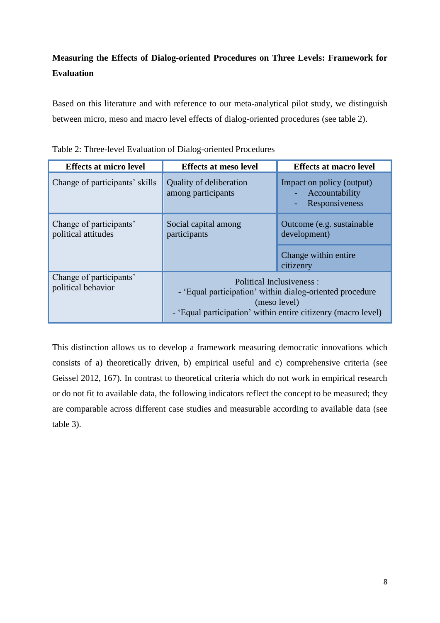# **Measuring the Effects of Dialog-oriented Procedures on Three Levels: Framework for Evaluation**

Based on this literature and with reference to our meta-analytical pilot study, we distinguish between micro, meso and macro level effects of dialog-oriented procedures (see table 2).

| <b>Effects at micro level</b>                                                          | <b>Effects at meso level</b>                  | <b>Effects at macro level</b>                                                                                                                                          |  |
|----------------------------------------------------------------------------------------|-----------------------------------------------|------------------------------------------------------------------------------------------------------------------------------------------------------------------------|--|
| Change of participants' skills                                                         | Quality of deliberation<br>among participants | Impact on policy (output)<br>Accountability<br>Responsiveness                                                                                                          |  |
| Change of participants'<br>Social capital among<br>political attitudes<br>participants |                                               | Outcome (e.g. sustainable)<br>development)                                                                                                                             |  |
|                                                                                        |                                               | Change within entire<br>citizenry                                                                                                                                      |  |
| Change of participants'<br>political behavior                                          |                                               | Political Inclusiveness :<br>- 'Equal participation' within dialog-oriented procedure<br>(meso level)<br>- 'Equal participation' within entire citizenry (macro level) |  |

Table 2: Three-level Evaluation of Dialog-oriented Procedures

This distinction allows us to develop a framework measuring democratic innovations which consists of a) theoretically driven, b) empirical useful and c) comprehensive criteria (see Geissel 2012, 167). In contrast to theoretical criteria which do not work in empirical research or do not fit to available data, the following indicators reflect the concept to be measured; they are comparable across different case studies and measurable according to available data (see table 3).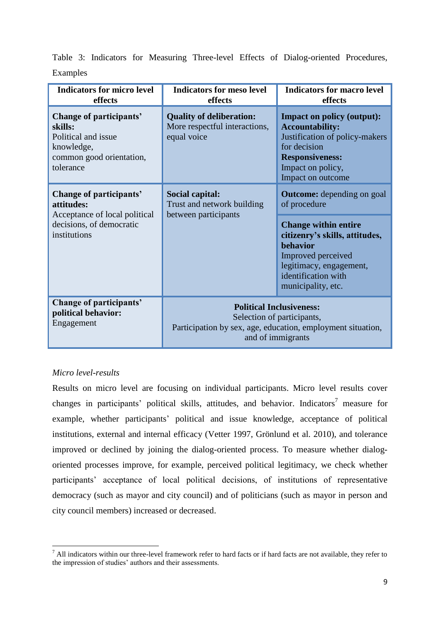| <b>Indicators for micro level</b><br>effects                                                                       | <b>Indicators for meso level</b><br>effects                                                                                                       | <b>Indicators for macro level</b><br>effects                                                                                                                                                                                        |  |
|--------------------------------------------------------------------------------------------------------------------|---------------------------------------------------------------------------------------------------------------------------------------------------|-------------------------------------------------------------------------------------------------------------------------------------------------------------------------------------------------------------------------------------|--|
| Change of participants'<br>skills:<br>Political and issue<br>knowledge,<br>common good orientation,<br>tolerance   | <b>Quality of deliberation:</b><br>More respectful interactions,<br>equal voice                                                                   | <b>Impact on policy (output):</b><br><b>Accountability:</b><br>Justification of policy-makers<br>for decision<br><b>Responsiveness:</b><br>Impact on policy,<br>Impact on outcome                                                   |  |
| Change of participants'<br>attitudes:<br>Acceptance of local political<br>decisions, of democratic<br>institutions | Social capital:<br>Trust and network building<br>between participants                                                                             | <b>Outcome:</b> depending on goal<br>of procedure<br><b>Change within entire</b><br>citizenry's skills, attitudes,<br><b>behavior</b><br>Improved perceived<br>legitimacy, engagement,<br>identification with<br>municipality, etc. |  |
| Change of participants'<br>political behavior:<br>Engagement                                                       | <b>Political Inclusiveness:</b><br>Selection of participants,<br>Participation by sex, age, education, employment situation,<br>and of immigrants |                                                                                                                                                                                                                                     |  |

Table 3: Indicators for Measuring Three-level Effects of Dialog-oriented Procedures, Examples

## *Micro level-results*

Results on micro level are focusing on individual participants. Micro level results cover changes in participants' political skills, attitudes, and behavior. Indicators<sup>7</sup> measure for example, whether participants' political and issue knowledge, acceptance of political institutions, external and internal efficacy (Vetter 1997, Grönlund et al. 2010), and tolerance improved or declined by joining the dialog-oriented process. To measure whether dialogoriented processes improve, for example, perceived political legitimacy, we check whether participants' acceptance of local political decisions, of institutions of representative democracy (such as mayor and city council) and of politicians (such as mayor in person and city council members) increased or decreased.

<sup>1</sup>  $<sup>7</sup>$  All indicators within our three-level framework refer to hard facts or if hard facts are not available, they refer to</sup> the impression of studies' authors and their assessments.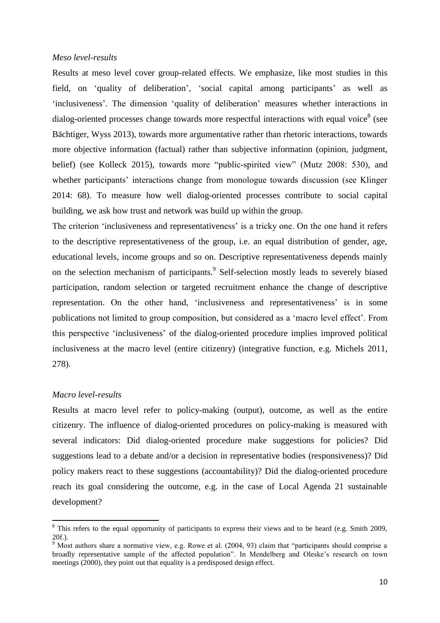#### *Meso level-results*

Results at meso level cover group-related effects. We emphasize, like most studies in this field, on 'quality of deliberation', 'social capital among participants' as well as 'inclusiveness'. The dimension 'quality of deliberation' measures whether interactions in dialog-oriented processes change towards more respectful interactions with equal voice<sup>8</sup> (see Bächtiger, Wyss 2013), towards more argumentative rather than rhetoric interactions, towards more objective information (factual) rather than subjective information (opinion, judgment, belief) (see Kolleck 2015), towards more "public-spirited view" (Mutz 2008: 530), and whether participants' interactions change from monologue towards discussion (see Klinger 2014: 68). To measure how well dialog-oriented processes contribute to social capital building, we ask how trust and network was build up within the group.

The criterion 'inclusiveness and representativeness' is a tricky one. On the one hand it refers to the descriptive representativeness of the group, i.e. an equal distribution of gender, age, educational levels, income groups and so on. Descriptive representativeness depends mainly on the selection mechanism of participants.<sup>9</sup> Self-selection mostly leads to severely biased participation, random selection or targeted recruitment enhance the change of descriptive representation. On the other hand, 'inclusiveness and representativeness' is in some publications not limited to group composition, but considered as a 'macro level effect'. From this perspective 'inclusiveness' of the dialog-oriented procedure implies improved political inclusiveness at the macro level (entire citizenry) (integrative function, e.g. Michels 2011, 278).

#### *Macro level-results*

1

Results at macro level refer to policy-making (output), outcome, as well as the entire citizenry. The influence of dialog-oriented procedures on policy-making is measured with several indicators: Did dialog-oriented procedure make suggestions for policies? Did suggestions lead to a debate and/or a decision in representative bodies (responsiveness)? Did policy makers react to these suggestions (accountability)? Did the dialog-oriented procedure reach its goal considering the outcome, e.g. in the case of Local Agenda 21 sustainable development?

 $8$  This refers to the equal opportunity of participants to express their views and to be heard (e.g. Smith 2009, 20f.).

 $9$  Most authors share a normative view, e.g. Rowe et al. (2004, 93) claim that "participants should comprise a broadly representative sample of the affected population". In Mendelberg and Oleske's research on town meetings (2000), they point out that equality is a predisposed design effect.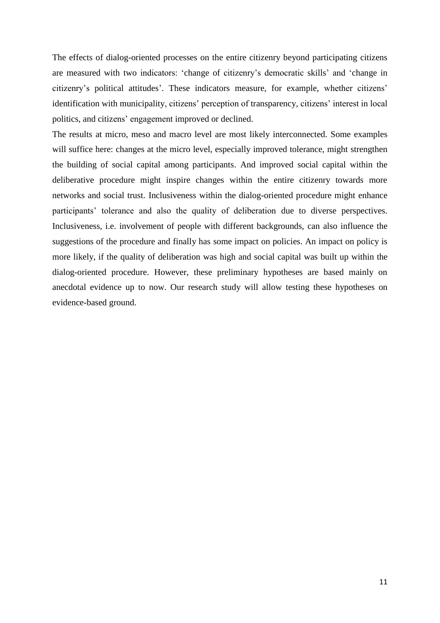The effects of dialog-oriented processes on the entire citizenry beyond participating citizens are measured with two indicators: 'change of citizenry's democratic skills' and 'change in citizenry's political attitudes'. These indicators measure, for example, whether citizens' identification with municipality, citizens' perception of transparency, citizens' interest in local politics, and citizens' engagement improved or declined.

The results at micro, meso and macro level are most likely interconnected. Some examples will suffice here: changes at the micro level, especially improved tolerance, might strengthen the building of social capital among participants. And improved social capital within the deliberative procedure might inspire changes within the entire citizenry towards more networks and social trust. Inclusiveness within the dialog-oriented procedure might enhance participants' tolerance and also the quality of deliberation due to diverse perspectives. Inclusiveness, i.e. involvement of people with different backgrounds, can also influence the suggestions of the procedure and finally has some impact on policies. An impact on policy is more likely, if the quality of deliberation was high and social capital was built up within the dialog-oriented procedure. However, these preliminary hypotheses are based mainly on anecdotal evidence up to now. Our research study will allow testing these hypotheses on evidence-based ground.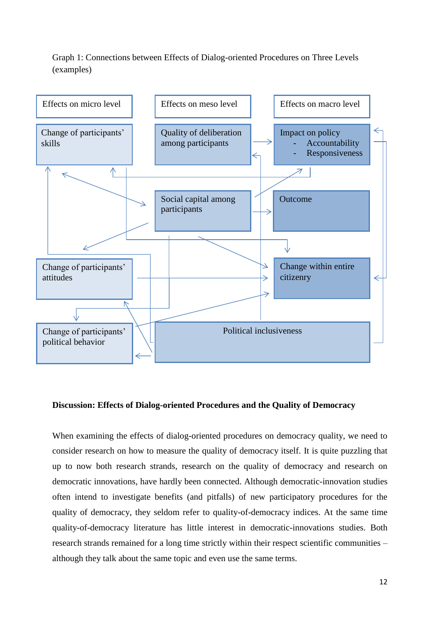Graph 1: Connections between Effects of Dialog-oriented Procedures on Three Levels (examples)



#### **Discussion: Effects of Dialog-oriented Procedures and the Quality of Democracy**

When examining the effects of dialog-oriented procedures on democracy quality, we need to consider research on how to measure the quality of democracy itself. It is quite puzzling that up to now both research strands, research on the quality of democracy and research on democratic innovations, have hardly been connected. Although democratic-innovation studies often intend to investigate benefits (and pitfalls) of new participatory procedures for the quality of democracy, they seldom refer to quality-of-democracy indices. At the same time quality-of-democracy literature has little interest in democratic-innovations studies. Both research strands remained for a long time strictly within their respect scientific communities – although they talk about the same topic and even use the same terms.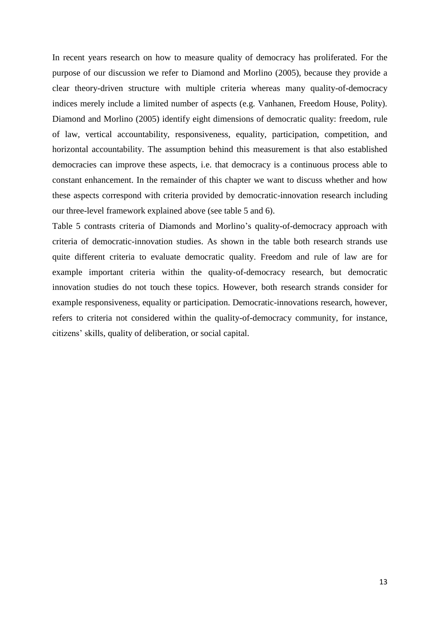In recent years research on how to measure quality of democracy has proliferated. For the purpose of our discussion we refer to Diamond and Morlino (2005), because they provide a clear theory-driven structure with multiple criteria whereas many quality-of-democracy indices merely include a limited number of aspects (e.g. Vanhanen, Freedom House, Polity). Diamond and Morlino (2005) identify eight dimensions of democratic quality: freedom, rule of law, vertical accountability, responsiveness, equality, participation, competition, and horizontal accountability. The assumption behind this measurement is that also established democracies can improve these aspects, i.e. that democracy is a continuous process able to constant enhancement. In the remainder of this chapter we want to discuss whether and how these aspects correspond with criteria provided by democratic-innovation research including our three-level framework explained above (see table 5 and 6).

Table 5 contrasts criteria of Diamonds and Morlino's quality-of-democracy approach with criteria of democratic-innovation studies. As shown in the table both research strands use quite different criteria to evaluate democratic quality. Freedom and rule of law are for example important criteria within the quality-of-democracy research, but democratic innovation studies do not touch these topics. However, both research strands consider for example responsiveness, equality or participation. Democratic-innovations research, however, refers to criteria not considered within the quality-of-democracy community, for instance, citizens' skills, quality of deliberation, or social capital.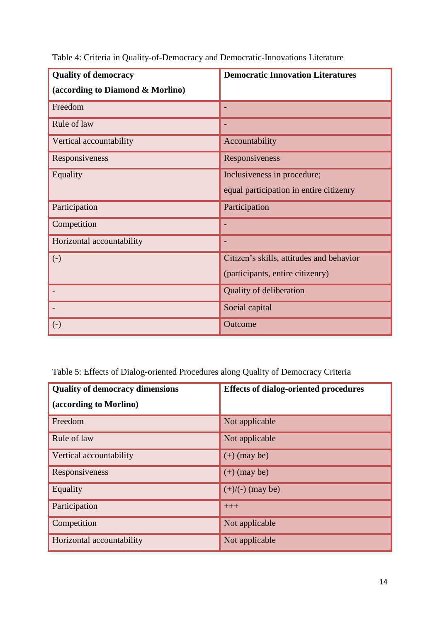| <b>Quality of democracy</b>      | <b>Democratic Innovation Literatures</b> |  |
|----------------------------------|------------------------------------------|--|
| (according to Diamond & Morlino) |                                          |  |
| Freedom                          |                                          |  |
| Rule of law                      |                                          |  |
| Vertical accountability          | Accountability                           |  |
| Responsiveness                   | Responsiveness                           |  |
| Equality                         | Inclusiveness in procedure;              |  |
|                                  | equal participation in entire citizenry  |  |
| Participation                    | Participation                            |  |
| Competition                      |                                          |  |
| Horizontal accountability        |                                          |  |
| $(-)$                            | Citizen's skills, attitudes and behavior |  |
|                                  | (participants, entire citizenry)         |  |
| $\overline{\phantom{a}}$         | <b>Quality of deliberation</b>           |  |
|                                  | Social capital                           |  |
| $\left( -\right)$                | Outcome                                  |  |

Table 4: Criteria in Quality-of-Democracy and Democratic-Innovations Literature

Table 5: Effects of Dialog-oriented Procedures along Quality of Democracy Criteria

| <b>Quality of democracy dimensions</b> | <b>Effects of dialog-oriented procedures</b> |  |
|----------------------------------------|----------------------------------------------|--|
| (according to Morlino)                 |                                              |  |
| Freedom                                | Not applicable                               |  |
| Rule of law                            | Not applicable                               |  |
| Vertical accountability                | $(+)$ (may be)                               |  |
| Responsiveness                         | $(+)$ (may be)                               |  |
| Equality                               | $(+)/(-)$ (may be)                           |  |
| Participation                          | $+++$                                        |  |
| Competition                            | Not applicable                               |  |
| Horizontal accountability              | Not applicable                               |  |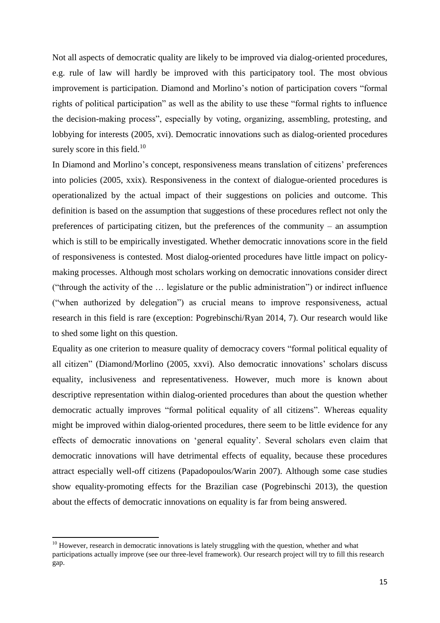Not all aspects of democratic quality are likely to be improved via dialog-oriented procedures, e.g. rule of law will hardly be improved with this participatory tool. The most obvious improvement is participation. Diamond and Morlino's notion of participation covers "formal rights of political participation" as well as the ability to use these "formal rights to influence the decision-making process", especially by voting, organizing, assembling, protesting, and lobbying for interests (2005, xvi). Democratic innovations such as dialog-oriented procedures surely score in this field. $10$ 

In Diamond and Morlino's concept, responsiveness means translation of citizens' preferences into policies (2005, xxix). Responsiveness in the context of dialogue-oriented procedures is operationalized by the actual impact of their suggestions on policies and outcome. This definition is based on the assumption that suggestions of these procedures reflect not only the preferences of participating citizen, but the preferences of the community – an assumption which is still to be empirically investigated. Whether democratic innovations score in the field of responsiveness is contested. Most dialog-oriented procedures have little impact on policymaking processes. Although most scholars working on democratic innovations consider direct ("through the activity of the … legislature or the public administration") or indirect influence ("when authorized by delegation") as crucial means to improve responsiveness, actual research in this field is rare (exception: Pogrebinschi/Ryan 2014, 7). Our research would like to shed some light on this question.

Equality as one criterion to measure quality of democracy covers "formal political equality of all citizen" (Diamond/Morlino (2005, xxvi). Also democratic innovations' scholars discuss equality, inclusiveness and representativeness. However, much more is known about descriptive representation within dialog-oriented procedures than about the question whether democratic actually improves "formal political equality of all citizens". Whereas equality might be improved within dialog-oriented procedures, there seem to be little evidence for any effects of democratic innovations on 'general equality'. Several scholars even claim that democratic innovations will have detrimental effects of equality, because these procedures attract especially well-off citizens (Papadopoulos/Warin 2007). Although some case studies show equality-promoting effects for the Brazilian case (Pogrebinschi 2013), the question about the effects of democratic innovations on equality is far from being answered.

**.** 

 $10$  However, research in democratic innovations is lately struggling with the question, whether and what participations actually improve (see our three-level framework). Our research project will try to fill this research gap.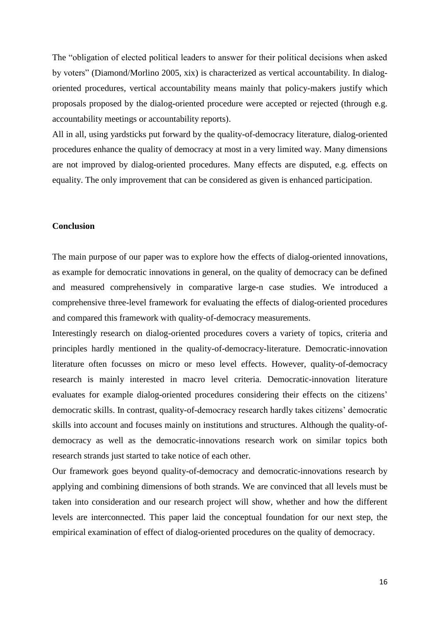The "obligation of elected political leaders to answer for their political decisions when asked by voters" (Diamond/Morlino 2005, xix) is characterized as vertical accountability. In dialogoriented procedures, vertical accountability means mainly that policy-makers justify which proposals proposed by the dialog-oriented procedure were accepted or rejected (through e.g. accountability meetings or accountability reports).

All in all, using yardsticks put forward by the quality-of-democracy literature, dialog-oriented procedures enhance the quality of democracy at most in a very limited way. Many dimensions are not improved by dialog-oriented procedures. Many effects are disputed, e.g. effects on equality. The only improvement that can be considered as given is enhanced participation.

#### **Conclusion**

The main purpose of our paper was to explore how the effects of dialog-oriented innovations, as example for democratic innovations in general, on the quality of democracy can be defined and measured comprehensively in comparative large-n case studies. We introduced a comprehensive three-level framework for evaluating the effects of dialog-oriented procedures and compared this framework with quality-of-democracy measurements.

Interestingly research on dialog-oriented procedures covers a variety of topics, criteria and principles hardly mentioned in the quality-of-democracy-literature. Democratic-innovation literature often focusses on micro or meso level effects. However, quality-of-democracy research is mainly interested in macro level criteria. Democratic-innovation literature evaluates for example dialog-oriented procedures considering their effects on the citizens' democratic skills. In contrast, quality-of-democracy research hardly takes citizens' democratic skills into account and focuses mainly on institutions and structures. Although the quality-ofdemocracy as well as the democratic-innovations research work on similar topics both research strands just started to take notice of each other.

Our framework goes beyond quality-of-democracy and democratic-innovations research by applying and combining dimensions of both strands. We are convinced that all levels must be taken into consideration and our research project will show, whether and how the different levels are interconnected. This paper laid the conceptual foundation for our next step, the empirical examination of effect of dialog-oriented procedures on the quality of democracy.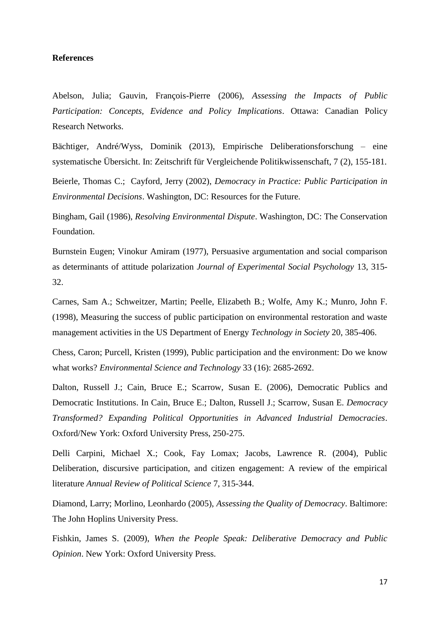#### **References**

Abelson, Julia; Gauvin, François-Pierre (2006), *Assessing the Impacts of Public Participation: Concepts, Evidence and Policy Implications*. Ottawa: Canadian Policy Research Networks.

Bächtiger, André/Wyss, Dominik (2013), Empirische Deliberationsforschung – eine systematische Übersicht. In: Zeitschrift für Vergleichende Politikwissenschaft, 7 (2), 155-181.

Beierle, Thomas C.; Cayford, Jerry (2002), *Democracy in Practice: Public Participation in Environmental Decisions*. Washington, DC: Resources for the Future.

Bingham, Gail (1986), *Resolving Environmental Dispute*. Washington, DC: The Conservation Foundation.

Burnstein Eugen; Vinokur Amiram (1977), Persuasive argumentation and social comparison as determinants of attitude polarization *Journal of Experimental Social Psychology* 13, 315- 32.

Carnes, Sam A.; Schweitzer, Martin; Peelle, Elizabeth B.; Wolfe, Amy K.; Munro, John F. (1998), Measuring the success of public participation on environmental restoration and waste management activities in the US Department of Energy *Technology in Society* 20, 385-406.

Chess, Caron; Purcell, Kristen (1999), Public participation and the environment: Do we know what works? *Environmental Science and Technology* 33 (16): 2685-2692.

Dalton, Russell J.; Cain, Bruce E.; Scarrow, Susan E. (2006), Democratic Publics and Democratic Institutions. In Cain, Bruce E.; Dalton, Russell J.; Scarrow, Susan E. *Democracy Transformed? Expanding Political Opportunities in Advanced Industrial Democracies*. Oxford/New York: Oxford University Press, 250-275.

Delli Carpini, Michael X.; Cook, Fay Lomax; Jacobs, Lawrence R. (2004), Public Deliberation, discursive participation, and citizen engagement: A review of the empirical literature *Annual Review of Political Science* 7, 315-344.

Diamond, Larry; Morlino, Leonhardo (2005), *Assessing the Quality of Democracy*. Baltimore: The John Hoplins University Press.

Fishkin, James S. (2009), *When the People Speak: Deliberative Democracy and Public Opinion*. New York: Oxford University Press.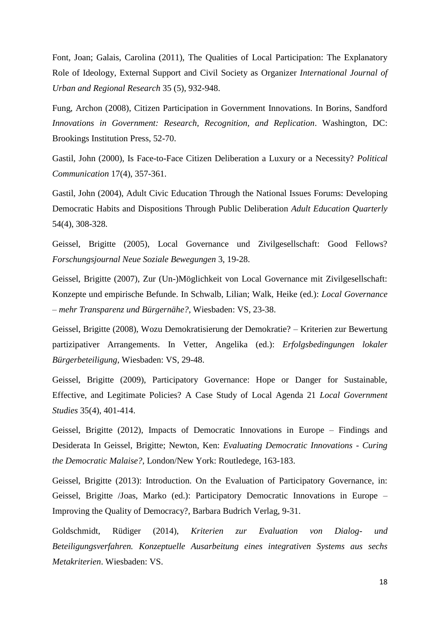Font, Joan; Galais, Carolina (2011), The Qualities of Local Participation: The Explanatory Role of Ideology, External Support and Civil Society as Organizer *International Journal of Urban and Regional Research* 35 (5), 932-948.

Fung, Archon (2008), Citizen Participation in Government Innovations. In Borins, Sandford *Innovations in Government: Research, Recognition, and Replication*. Washington, DC: Brookings Institution Press, 52-70.

Gastil, John (2000), Is Face-to-Face Citizen Deliberation a Luxury or a Necessity? *Political Communication* 17(4), 357-361.

Gastil, John (2004), Adult Civic Education Through the National Issues Forums: Developing Democratic Habits and Dispositions Through Public Deliberation *Adult Education Quarterly* 54(4), 308-328.

Geissel, Brigitte (2005), Local Governance und Zivilgesellschaft: Good Fellows? *Forschungsjournal Neue Soziale Bewegungen* 3, 19-28.

Geissel, Brigitte (2007), Zur (Un-)Möglichkeit von Local Governance mit Zivilgesellschaft: Konzepte und empirische Befunde. In Schwalb, Lilian; Walk, Heike (ed.): *Local Governance – mehr Transparenz und Bürgernähe?*, Wiesbaden: VS, 23-38.

Geissel, Brigitte (2008), Wozu Demokratisierung der Demokratie? – Kriterien zur Bewertung partizipativer Arrangements. In Vetter, Angelika (ed.): *Erfolgsbedingungen lokaler Bürgerbeteiligung*, Wiesbaden: VS, 29-48.

Geissel, Brigitte (2009), Participatory Governance: Hope or Danger for Sustainable, Effective, and Legitimate Policies? A Case Study of Local Agenda 21 *Local Government Studies* 35(4), 401-414.

Geissel, Brigitte (2012), Impacts of Democratic Innovations in Europe – Findings and Desiderata In Geissel, Brigitte; Newton, Ken: *Evaluating Democratic Innovations - Curing the Democratic Malaise?*, London/New York: Routledege, 163-183.

Geissel, Brigitte (2013): Introduction. On the Evaluation of Participatory Governance, in: Geissel, Brigitte /Joas, Marko (ed.): Participatory Democratic Innovations in Europe – Improving the Quality of Democracy?, Barbara Budrich Verlag, 9-31.

Goldschmidt, Rüdiger (2014), *Kriterien zur Evaluation von Dialog- und Beteiligungsverfahren. Konzeptuelle Ausarbeitung eines integrativen Systems aus sechs Metakriterien*. Wiesbaden: VS.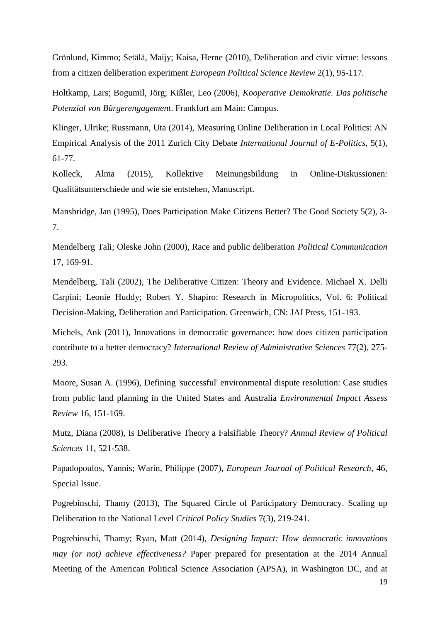Grönlund, Kimmo; Setälä, Maijy; Kaisa, Herne (2010), Deliberation and civic virtue: lessons from a citizen deliberation experiment *European Political Science Review* 2(1), 95-117.

Holtkamp, Lars; Bogumil, Jörg; Kißler, Leo (2006), *Kooperative Demokratie. Das politische Potenzial von Bürgerengagement*. Frankfurt am Main: Campus.

Klinger, Ulrike; Russmann, Uta (2014), Measuring Online Deliberation in Local Politics: AN Empirical Analysis of the 2011 Zurich City Debate *International Journal of E-Politics*, 5(1), 61-77.

Kolleck, Alma (2015), Kollektive Meinungsbildung in Online-Diskussionen: Qualitätsunterschiede und wie sie entstehen, Manuscript.

Mansbridge, Jan (1995), Does Participation Make Citizens Better? The Good Society 5(2), 3- 7.

Mendelberg Tali; Oleske John (2000), Race and public deliberation *Political Communication* 17, 169-91.

Mendelberg, Tali (2002), The Deliberative Citizen: Theory and Evidence. Michael X. Delli Carpini; Leonie Huddy; Robert Y. Shapiro: Research in Micropolitics, Vol. 6: Political Decision-Making, Deliberation and Participation. Greenwich, CN: JAI Press, 151-193.

Michels, Ank (2011), Innovations in democratic governance: how does citizen participation contribute to a better democracy? *International Review of Administrative Sciences* 77(2), 275- 293.

Moore, Susan A. (1996), Defining 'successful' environmental dispute resolution: Case studies from public land planning in the United States and Australia *Environmental Impact Assess Review* 16, 151-169.

Mutz, Diana (2008), Is Deliberative Theory a Falsifiable Theory? *Annual Review of Political Sciences* 11, 521-538.

Papadopoulos, Yannis; Warin, Philippe (2007), *European Journal of Political Research*, 46, Special Issue.

Pogrebinschi, Thamy (2013), [The Squared Circle of Participatory Democracy.](http://dx.doi.org/10.1080/19460171.2013.805156) Scaling up Deliberation to the National Level *Critical Policy Studies* 7(3), 219-241.

Pogrebinschi, Thamy; Ryan, Matt (2014), *Designing Impact: How democratic innovations may (or not) achieve effectiveness?* Paper prepared for presentation at the 2014 Annual Meeting of the American Political Science Association (APSA), in Washington DC, and at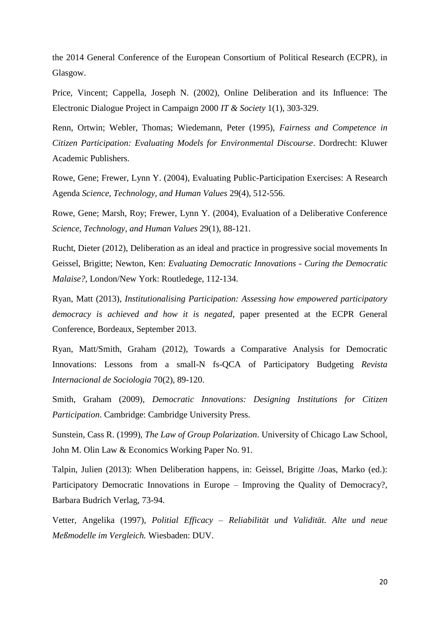the 2014 General Conference of the European Consortium of Political Research (ECPR), in Glasgow.

Price, Vincent; Cappella, Joseph N. (2002), Online Deliberation and its Influence: The Electronic Dialogue Project in Campaign 2000 *IT & Society* 1(1), 303-329.

Renn, Ortwin; Webler, Thomas; Wiedemann, Peter (1995), *Fairness and Competence in Citizen Participation: Evaluating Models for Environmental Discourse*. Dordrecht: Kluwer Academic Publishers.

Rowe, Gene; Frewer, Lynn Y. (2004), Evaluating Public-Participation Exercises: A Research Agenda *Science, Technology, and Human Values* 29(4), 512-556.

Rowe, Gene; Marsh, Roy; Frewer, Lynn Y. (2004), Evaluation of a Deliberative Conference *Science, Technology, and Human Values* 29(1), 88-121.

Rucht, Dieter (2012), Deliberation as an ideal and practice in progressive social movements In Geissel, Brigitte; Newton, Ken: *Evaluating Democratic Innovations - Curing the Democratic Malaise?*, London/New York: Routledege, 112-134.

Ryan, Matt (2013), *Institutionalising Participation: Assessing how empowered participatory democracy is achieved and how it is negated*, paper presented at the ECPR General Conference, Bordeaux, September 2013.

Ryan, Matt/Smith, Graham (2012), Towards a Comparative Analysis for Democratic Innovations: Lessons from a small-N fs-QCA of Participatory Budgeting *Revista Internacional de Sociologia* 70(2), 89-120.

Smith, Graham (2009), *Democratic Innovations: Designing Institutions for Citizen Participation*. Cambridge: Cambridge University Press.

Sunstein, Cass R. (1999), *The Law of Group Polarization*. University of Chicago Law School, John M. Olin Law & Economics Working Paper No. 91.

Talpin, Julien (2013): When Deliberation happens, in: Geissel, Brigitte /Joas, Marko (ed.): Participatory Democratic Innovations in Europe – Improving the Quality of Democracy?, Barbara Budrich Verlag, 73-94.

Vetter, Angelika (1997), *Politial Efficacy – Reliabilität und Validität. Alte und neue Meßmodelle im Vergleich.* Wiesbaden: DUV.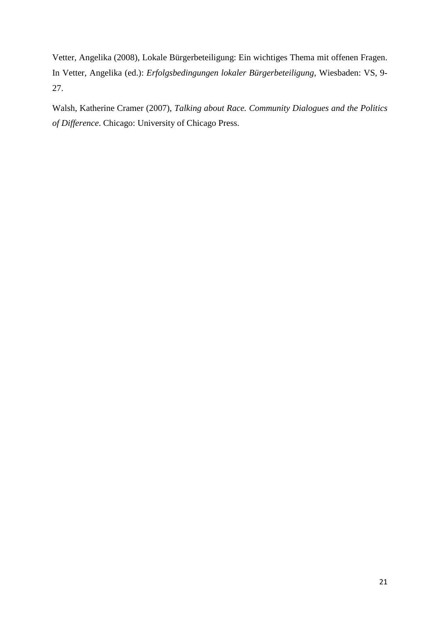Vetter, Angelika (2008), Lokale Bürgerbeteiligung: Ein wichtiges Thema mit offenen Fragen. In Vetter, Angelika (ed.): *Erfolgsbedingungen lokaler Bürgerbeteiligung*, Wiesbaden: VS, 9- 27.

Walsh, Katherine Cramer (2007), *Talking about Race. Community Dialogues and the Politics of Difference*. Chicago: University of Chicago Press.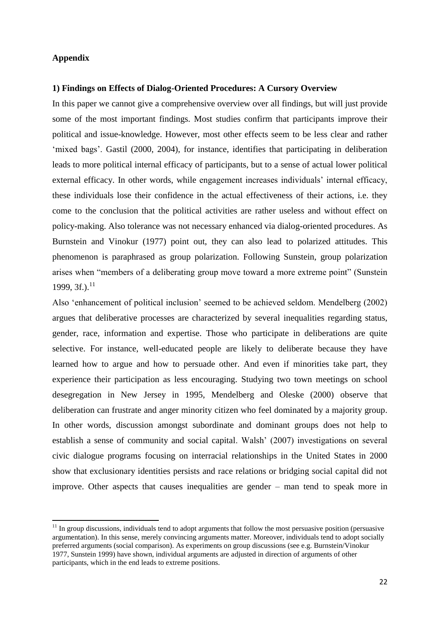### **Appendix**

1

#### **1) Findings on Effects of Dialog-Oriented Procedures: A Cursory Overview**

In this paper we cannot give a comprehensive overview over all findings, but will just provide some of the most important findings. Most studies confirm that participants improve their political and issue-knowledge. However, most other effects seem to be less clear and rather 'mixed bags'. Gastil (2000, 2004), for instance, identifies that participating in deliberation leads to more political internal efficacy of participants, but to a sense of actual lower political external efficacy. In other words, while engagement increases individuals' internal efficacy, these individuals lose their confidence in the actual effectiveness of their actions, i.e. they come to the conclusion that the political activities are rather useless and without effect on policy-making. Also tolerance was not necessary enhanced via dialog-oriented procedures. As Burnstein and Vinokur (1977) point out, they can also lead to polarized attitudes. This phenomenon is paraphrased as group polarization. Following Sunstein, group polarization arises when "members of a deliberating group move toward a more extreme point" (Sunstein 1999, 3f.).<sup>11</sup>

Also 'enhancement of political inclusion' seemed to be achieved seldom. Mendelberg (2002) argues that deliberative processes are characterized by several inequalities regarding status, gender, race, information and expertise. Those who participate in deliberations are quite selective. For instance, well-educated people are likely to deliberate because they have learned how to argue and how to persuade other. And even if minorities take part, they experience their participation as less encouraging. Studying two town meetings on school desegregation in New Jersey in 1995, Mendelberg and Oleske (2000) observe that deliberation can frustrate and anger minority citizen who feel dominated by a majority group. In other words, discussion amongst subordinate and dominant groups does not help to establish a sense of community and social capital. Walsh' (2007) investigations on several civic dialogue programs focusing on interracial relationships in the United States in 2000 show that exclusionary identities persists and race relations or bridging social capital did not improve. Other aspects that causes inequalities are gender – man tend to speak more in

 $11$  In group discussions, individuals tend to adopt arguments that follow the most persuasive position (persuasive argumentation). In this sense, merely convincing arguments matter. Moreover, individuals tend to adopt socially preferred arguments (social comparison). As experiments on group discussions (see e.g. Burnstein/Vinokur 1977, Sunstein 1999) have shown, individual arguments are adjusted in direction of arguments of other participants, which in the end leads to extreme positions.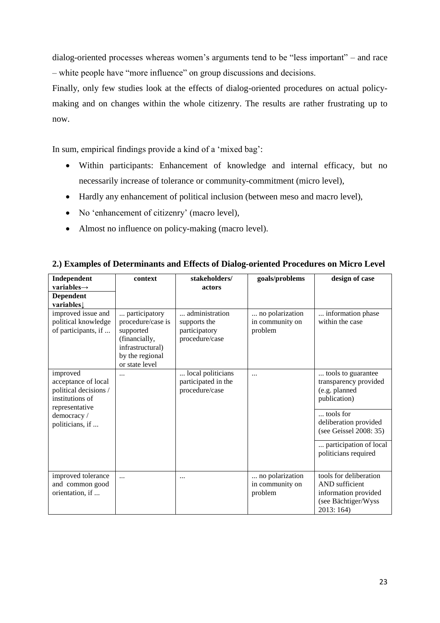dialog-oriented processes whereas women's arguments tend to be "less important" – and race – white people have "more influence" on group discussions and decisions.

Finally, only few studies look at the effects of dialog-oriented procedures on actual policymaking and on changes within the whole citizenry. The results are rather frustrating up to now.

In sum, empirical findings provide a kind of a 'mixed bag':

- Within participants: Enhancement of knowledge and internal efficacy, but no necessarily increase of tolerance or community-commitment (micro level),
- Hardly any enhancement of political inclusion (between meso and macro level),
- No 'enhancement of citizenry' (macro level),
- Almost no influence on policy-making (macro level).

| Independent                                                                                   | context                                                                                                                   | stakeholders/                                                     | goals/problems                                | design of case                                                                                        |
|-----------------------------------------------------------------------------------------------|---------------------------------------------------------------------------------------------------------------------------|-------------------------------------------------------------------|-----------------------------------------------|-------------------------------------------------------------------------------------------------------|
| variables $\rightarrow$                                                                       |                                                                                                                           | actors                                                            |                                               |                                                                                                       |
| <b>Dependent</b>                                                                              |                                                                                                                           |                                                                   |                                               |                                                                                                       |
| variables                                                                                     |                                                                                                                           |                                                                   |                                               |                                                                                                       |
| improved issue and<br>political knowledge<br>of participants, if                              | participatory<br>procedure/case is<br>supported<br>(financially,<br>infrastructural)<br>by the regional<br>or state level | administration<br>supports the<br>participatory<br>procedure/case | no polarization<br>in community on<br>problem | information phase<br>within the case                                                                  |
| improved<br>acceptance of local<br>political decisions /<br>institutions of<br>representative | .                                                                                                                         | local politicians<br>participated in the<br>procedure/case        | $\cdots$                                      | tools to guarantee<br>transparency provided<br>(e.g. planned<br>publication)                          |
| democracy /<br>politicians, if                                                                |                                                                                                                           |                                                                   |                                               | tools for<br>deliberation provided<br>(see Geissel 2008: 35)                                          |
|                                                                                               |                                                                                                                           |                                                                   |                                               | participation of local<br>politicians required                                                        |
| improved tolerance<br>and common good<br>orientation, if                                      |                                                                                                                           | $\cdots$                                                          | no polarization<br>in community on<br>problem | tools for deliberation<br>AND sufficient<br>information provided<br>(see Bächtiger/Wyss<br>2013: 164) |

### **2.) Examples of Determinants and Effects of Dialog-oriented Procedures on Micro Level**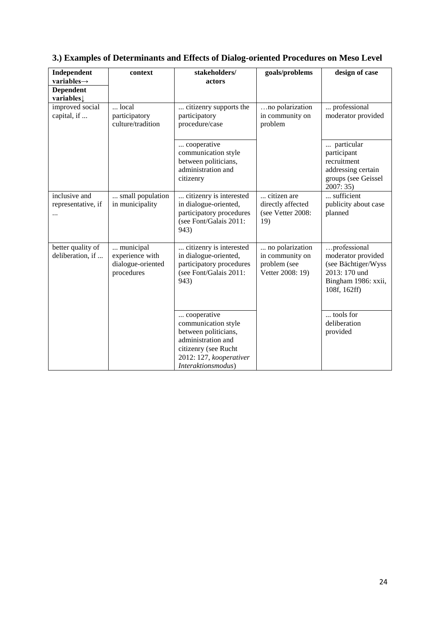| Independent<br>variables $\rightarrow$  | context                                                         | stakeholders/<br>actors                                                                                                                                   | goals/problems                                                         | design of case                                                                                                    |
|-----------------------------------------|-----------------------------------------------------------------|-----------------------------------------------------------------------------------------------------------------------------------------------------------|------------------------------------------------------------------------|-------------------------------------------------------------------------------------------------------------------|
| <b>Dependent</b><br>variables           |                                                                 |                                                                                                                                                           |                                                                        |                                                                                                                   |
| improved social<br>capital, if          | $\ldots$ local<br>participatory<br>culture/tradition            | citizenry supports the<br>participatory<br>procedure/case                                                                                                 | no polarization<br>in community on<br>problem                          | professional<br>moderator provided                                                                                |
|                                         |                                                                 | cooperative<br>communication style<br>between politicians,<br>administration and<br>citizenry                                                             |                                                                        | particular<br>participant<br>recruitment<br>addressing certain<br>groups (see Geissel<br>2007:35                  |
| inclusive and<br>representative, if<br> | small population<br>in municipality                             | citizenry is interested<br>in dialogue-oriented,<br>participatory procedures<br>(see Font/Galais 2011:<br>943)                                            | citizen are<br>directly affected<br>(see Vetter 2008:<br>19)           | sufficient<br>publicity about case<br>planned                                                                     |
| better quality of<br>deliberation, if   | municipal<br>experience with<br>dialogue-oriented<br>procedures | citizenry is interested<br>in dialogue-oriented,<br>participatory procedures<br>(see Font/Galais 2011:<br>943)                                            | no polarization<br>in community on<br>problem (see<br>Vetter 2008: 19) | professional<br>moderator provided<br>(see Bächtiger/Wyss<br>2013: 170 und<br>Bingham 1986: xxii,<br>108f, 162ff) |
|                                         |                                                                 | cooperative<br>communication style<br>between politicians,<br>administration and<br>citizenry (see Rucht<br>2012: 127, kooperativer<br>Interaktionsmodus) |                                                                        | tools for<br>deliberation<br>provided                                                                             |

# **3.) Examples of Determinants and Effects of Dialog-oriented Procedures on Meso Level**